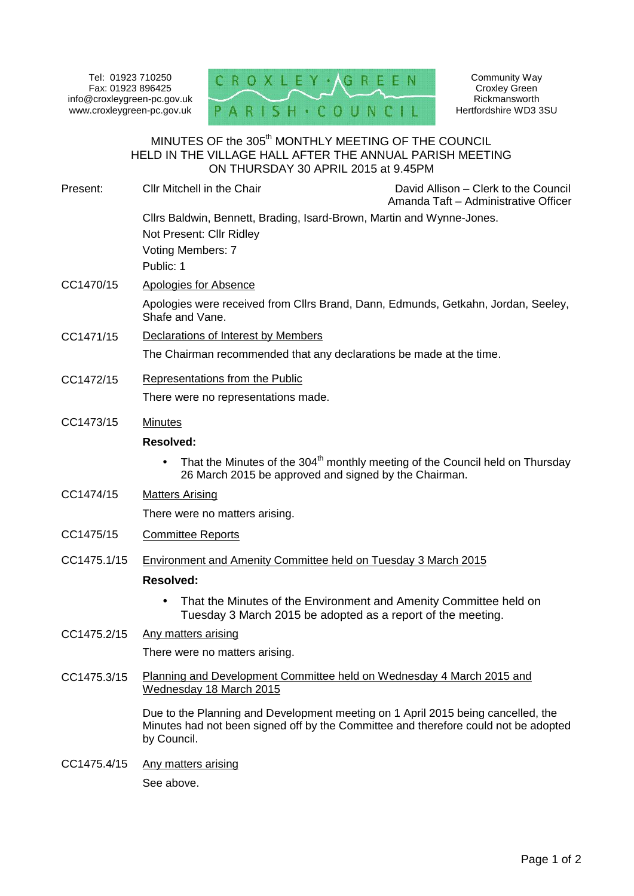Tel: 01923 710250 Fax: 01923 896425 www.croxleygreen-pc.gov.uk



Community Way Croxley Green **Rickmansworth** Hertfordshire WD3 3SU

# MINUTES OF the 305 $^{\rm th}$  MONTHLY MEETING OF THE COUNCIL HELD IN THE VILLAGE HALL AFTER THE ANNUAL PARISH MEETING ON THURSDAY 30 APRIL 2015 at 9.45PM

| Present:    | Cllr Mitchell in the Chair                                                                                                                                              | David Allison – Clerk to the Council<br>Amanda Taft - Administrative Officer |
|-------------|-------------------------------------------------------------------------------------------------------------------------------------------------------------------------|------------------------------------------------------------------------------|
|             | Cllrs Baldwin, Bennett, Brading, Isard-Brown, Martin and Wynne-Jones.<br>Not Present: Cllr Ridley<br>Voting Members: 7<br>Public: 1                                     |                                                                              |
| CC1470/15   | <b>Apologies for Absence</b>                                                                                                                                            |                                                                              |
|             | Apologies were received from Cllrs Brand, Dann, Edmunds, Getkahn, Jordan, Seeley,<br>Shafe and Vane.                                                                    |                                                                              |
| CC1471/15   | Declarations of Interest by Members<br>The Chairman recommended that any declarations be made at the time.                                                              |                                                                              |
|             |                                                                                                                                                                         |                                                                              |
| CC1472/15   | Representations from the Public                                                                                                                                         |                                                                              |
|             | There were no representations made.                                                                                                                                     |                                                                              |
| CC1473/15   | <b>Minutes</b>                                                                                                                                                          |                                                                              |
|             | <b>Resolved:</b>                                                                                                                                                        |                                                                              |
|             | That the Minutes of the 304 <sup>th</sup> monthly meeting of the Council held on Thursday<br>$\bullet$<br>26 March 2015 be approved and signed by the Chairman.         |                                                                              |
| CC1474/15   | <b>Matters Arising</b>                                                                                                                                                  |                                                                              |
|             | There were no matters arising.                                                                                                                                          |                                                                              |
| CC1475/15   | <b>Committee Reports</b>                                                                                                                                                |                                                                              |
| CC1475.1/15 | Environment and Amenity Committee held on Tuesday 3 March 2015                                                                                                          |                                                                              |
|             | <b>Resolved:</b>                                                                                                                                                        |                                                                              |
|             | That the Minutes of the Environment and Amenity Committee held on<br>$\bullet$<br>Tuesday 3 March 2015 be adopted as a report of the meeting.                           |                                                                              |
| CC1475.2/15 | Any matters arising                                                                                                                                                     |                                                                              |
|             | There were no matters arising.                                                                                                                                          |                                                                              |
| CC1475.3/15 | Planning and Development Committee held on Wednesday 4 March 2015 and<br>Wednesday 18 March 2015                                                                        |                                                                              |
|             | Due to the Planning and Development meeting on 1 April 2015 being cancelled, the<br>Minutes had not been signed off by the Committee and therefore could not be adopted |                                                                              |

CC1475.4/15 Any matters arising See above.

by Council.